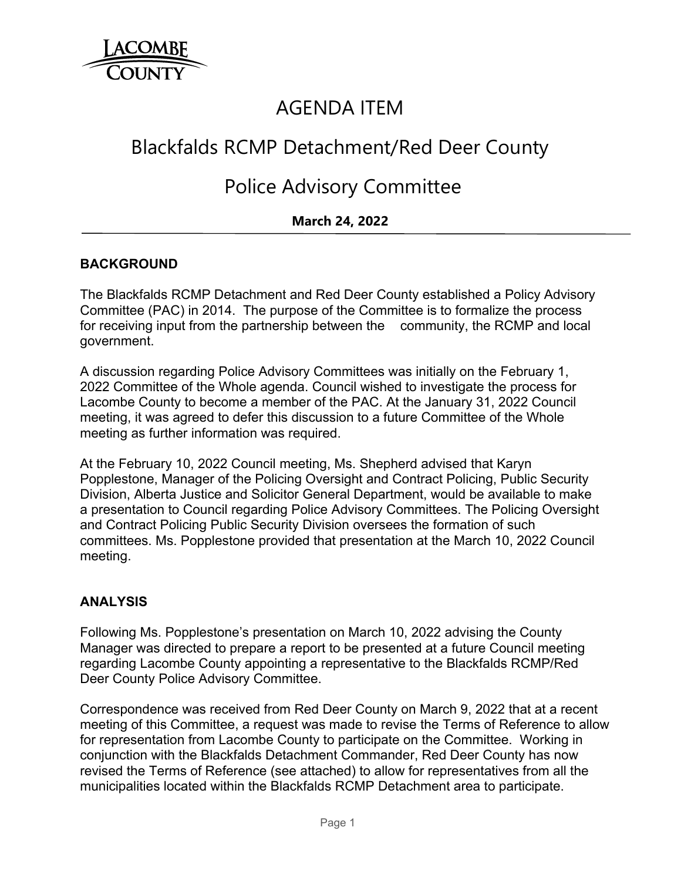

## AGENDA ITEM

# Blackfalds RCMP Detachment/Red Deer County

## Police Advisory Committee

## **March 24, 2022**

#### **BACKGROUND**

The Blackfalds RCMP Detachment and Red Deer County established a Policy Advisory Committee (PAC) in 2014. The purpose of the Committee is to formalize the process for receiving input from the partnership between the community, the RCMP and local government.

A discussion regarding Police Advisory Committees was initially on the February 1, 2022 Committee of the Whole agenda. Council wished to investigate the process for Lacombe County to become a member of the PAC. At the January 31, 2022 Council meeting, it was agreed to defer this discussion to a future Committee of the Whole meeting as further information was required.

At the February 10, 2022 Council meeting, Ms. Shepherd advised that Karyn Popplestone, Manager of the Policing Oversight and Contract Policing, Public Security Division, Alberta Justice and Solicitor General Department, would be available to make a presentation to Council regarding Police Advisory Committees. The Policing Oversight and Contract Policing Public Security Division oversees the formation of such committees. Ms. Popplestone provided that presentation at the March 10, 2022 Council meeting.

#### **ANALYSIS**

Following Ms. Popplestone's presentation on March 10, 2022 advising the County Manager was directed to prepare a report to be presented at a future Council meeting regarding Lacombe County appointing a representative to the Blackfalds RCMP/Red Deer County Police Advisory Committee.

Correspondence was received from Red Deer County on March 9, 2022 that at a recent meeting of this Committee, a request was made to revise the Terms of Reference to allow for representation from Lacombe County to participate on the Committee. Working in conjunction with the Blackfalds Detachment Commander, Red Deer County has now revised the Terms of Reference (see attached) to allow for representatives from all the municipalities located within the Blackfalds RCMP Detachment area to participate.